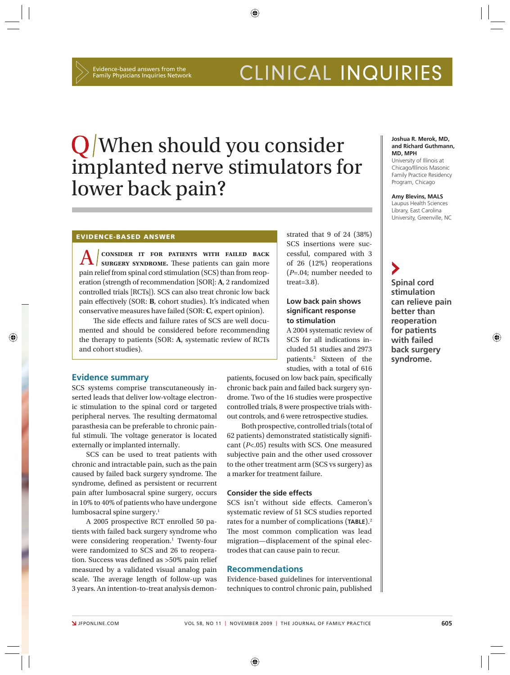# CLINICAL INQUIRIES

# When should you consider implanted nerve stimulators for lower back pain?

⊕

#### **EVIDENCE-BASED ANSWER**

**A consider it for patients with failed back surgery syndrome.** These patients can gain more pain relief from spinal cord stimulation (SCS) than from reoperation (strength of recommendation [SOR]: **A**, 2 randomized controlled trials [RCTs]). SCS can also treat chronic low back pain effectively (SOR: **B**, cohort studies). It's indicated when conservative measures have failed (SOR: **C**, expert opinion).

The side effects and failure rates of SCS are well documented and should be considered before recommending the therapy to patients (SOR: **A**, systematic review of RCTs and cohort studies).

strated that 9 of 24 (38%) SCS insertions were successful, compared with 3 of 26 (12%) reoperations (*P*=.04; number needed to treat=3.8).

#### **Low back pain shows signifi cant response to stimulation**

A 2004 systematic review of SCS for all indications included 51 studies and 2973 patients.2 Sixteen of the studies, with a total of 616

patients, focused on low back pain, specifically chronic back pain and failed back surgery syndrome. Two of the 16 studies were prospective controlled trials, 8 were prospective trials without controls, and 6 were retrospective studies.

Both prospective, controlled trials (total of 62 patients) demonstrated statistically signifi cant (*P*<.05) results with SCS. One measured subjective pain and the other used crossover to the other treatment arm (SCS vs surgery) as a marker for treatment failure.

#### **Consider the side effects**

SCS isn't without side effects. Cameron's systematic review of 51 SCS studies reported rates for a number of complications (**TABLE**).2 The most common complication was lead migration—displacement of the spinal electrodes that can cause pain to recur.

#### **Recommendations**

Evidence-based guidelines for interventional techniques to control chronic pain, published

#### **Joshua R. Merok, MD, and Richard Guthmann, MD, MPH**

University of Illinois at Chicago/Illinois Masonic Family Practice Residency Program, Chicago

**Amy Blevins, MALS** Laupus Health Sciences Library, East Carolina University, Greenville, NC

**Spinal cord stimulation can relieve pain better than reoperation for patients with failed back surgery syndrome.**

⊕

#### **Evidence summary**

⊕

SCS systems comprise transcutaneously inserted leads that deliver low-voltage electronic stimulation to the spinal cord or targeted peripheral nerves. The resulting dermatomal parasthesia can be preferable to chronic painful stimuli. The voltage generator is located externally or implanted internally.

SCS can be used to treat patients with chronic and intractable pain, such as the pain caused by failed back surgery syndrome. The syndrome, defined as persistent or recurrent pain after lumbosacral spine surgery, occurs in 10% to 40% of patients who have undergone lumbosacral spine surgery.1

A 2005 prospective RCT enrolled 50 patients with failed back surgery syndrome who were considering reoperation.<sup>1</sup> Twenty-four were randomized to SCS and 26 to reoperation. Success was defined as >50% pain relief measured by a validated visual analog pain scale. The average length of follow-up was 3 years. An intention-to-treat analysis demon-

⊕